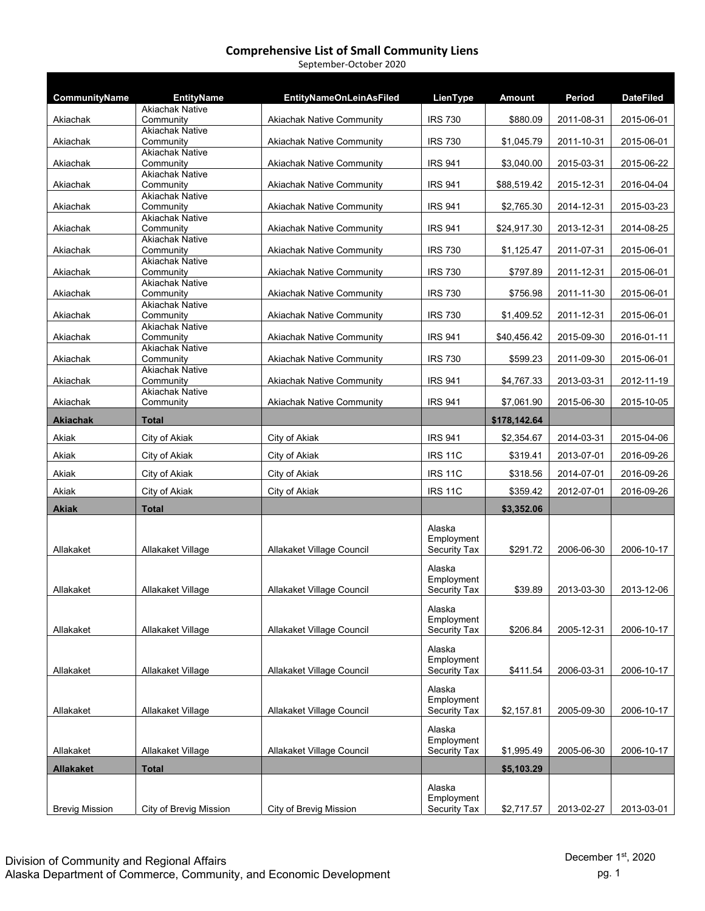| September-October 2020 |  |
|------------------------|--|
|------------------------|--|

| CommunityName    | <b>EntityName</b>                   | <b>EntityNameOnLeinAsFiled</b>   | LienType                   | <b>Amount</b> | Period     | <b>DateFiled</b> |
|------------------|-------------------------------------|----------------------------------|----------------------------|---------------|------------|------------------|
| Akiachak         | <b>Akiachak Native</b><br>Community | Akiachak Native Community        | <b>IRS 730</b>             | \$880.09      | 2011-08-31 | 2015-06-01       |
|                  | <b>Akiachak Native</b>              |                                  |                            |               |            |                  |
| Akiachak         | Community<br><b>Akiachak Native</b> | <b>Akiachak Native Community</b> | <b>IRS 730</b>             | \$1,045.79    | 2011-10-31 | 2015-06-01       |
| Akiachak         | Community<br><b>Akiachak Native</b> | Akiachak Native Community        | <b>IRS 941</b>             | \$3,040.00    | 2015-03-31 | 2015-06-22       |
| Akiachak         | Community                           | <b>Akiachak Native Community</b> | <b>IRS 941</b>             | \$88,519.42   | 2015-12-31 | 2016-04-04       |
| Akiachak         | <b>Akiachak Native</b><br>Community | <b>Akiachak Native Community</b> | <b>IRS 941</b>             | \$2,765.30    | 2014-12-31 | 2015-03-23       |
|                  | <b>Akiachak Native</b>              |                                  |                            |               |            |                  |
| Akiachak         | Community<br><b>Akiachak Native</b> | <b>Akiachak Native Community</b> | <b>IRS 941</b>             | \$24,917.30   | 2013-12-31 | 2014-08-25       |
| Akiachak         | Community                           | <b>Akiachak Native Community</b> | <b>IRS 730</b>             | \$1,125.47    | 2011-07-31 | 2015-06-01       |
| Akiachak         | <b>Akiachak Native</b><br>Community | <b>Akiachak Native Community</b> | <b>IRS 730</b>             | \$797.89      | 2011-12-31 | 2015-06-01       |
| Akiachak         | <b>Akiachak Native</b><br>Community | <b>Akiachak Native Community</b> | <b>IRS 730</b>             | \$756.98      | 2011-11-30 | 2015-06-01       |
|                  | <b>Akiachak Native</b>              |                                  |                            |               |            |                  |
| Akiachak         | Community<br><b>Akiachak Native</b> | <b>Akiachak Native Community</b> | <b>IRS 730</b>             | \$1,409.52    | 2011-12-31 | 2015-06-01       |
| Akiachak         | Community                           | <b>Akiachak Native Community</b> | <b>IRS 941</b>             | \$40,456.42   | 2015-09-30 | 2016-01-11       |
| Akiachak         | <b>Akiachak Native</b><br>Community | <b>Akiachak Native Community</b> | <b>IRS 730</b>             | \$599.23      | 2011-09-30 | 2015-06-01       |
|                  | <b>Akiachak Native</b>              |                                  |                            |               |            |                  |
| Akiachak         | Community<br><b>Akiachak Native</b> | <b>Akiachak Native Community</b> | <b>IRS 941</b>             | \$4,767.33    | 2013-03-31 | 2012-11-19       |
| Akiachak         | Community                           | <b>Akiachak Native Community</b> | <b>IRS 941</b>             | \$7.061.90    | 2015-06-30 | 2015-10-05       |
| Akiachak         | Total                               |                                  |                            | \$178,142.64  |            |                  |
| Akiak            | City of Akiak                       | City of Akiak                    | <b>IRS 941</b>             | \$2,354.67    | 2014-03-31 | 2015-04-06       |
| Akiak            | City of Akiak                       | City of Akiak                    | <b>IRS 11C</b>             | \$319.41      | 2013-07-01 | 2016-09-26       |
| Akiak            | City of Akiak                       | City of Akiak                    | <b>IRS 11C</b>             | \$318.56      | 2014-07-01 | 2016-09-26       |
| Akiak            | City of Akiak                       | City of Akiak                    | <b>IRS 11C</b>             | \$359.42      | 2012-07-01 | 2016-09-26       |
| <b>Akiak</b>     | <b>Total</b>                        |                                  |                            | \$3,352.06    |            |                  |
|                  |                                     |                                  | Alaska                     |               |            |                  |
| Allakaket        | Allakaket Village                   | Allakaket Village Council        | Employment<br>Security Tax | \$291.72      | 2006-06-30 | 2006-10-17       |
|                  |                                     |                                  | Alaska                     |               |            |                  |
|                  |                                     |                                  | Employment                 |               |            |                  |
| Allakaket        | Allakaket Village                   | Allakaket Village Council        | Security Tax               | \$39.89       | 2013-03-30 | 2013-12-06       |
|                  |                                     |                                  | Alaska<br>Employment       |               |            |                  |
| Allakaket        | Allakaket Village                   | Allakaket Village Council        | Security Tax               | \$206.84      | 2005-12-31 | 2006-10-17       |
|                  |                                     |                                  | Alaska                     |               |            |                  |
| Allakaket        | Allakaket Village                   | Allakaket Village Council        | Employment<br>Security Tax | \$411.54      | 2006-03-31 | 2006-10-17       |
|                  |                                     |                                  |                            |               |            |                  |
|                  |                                     |                                  | Alaska<br>Employment       |               |            |                  |
| Allakaket        | Allakaket Village                   | Allakaket Village Council        | Security Tax               | \$2,157.81    | 2005-09-30 | 2006-10-17       |
|                  |                                     |                                  |                            |               |            |                  |
|                  |                                     |                                  | Alaska                     |               |            |                  |
| Allakaket        | Allakaket Village                   | Allakaket Village Council        | Employment<br>Security Tax | \$1,995.49    | 2005-06-30 | 2006-10-17       |
| <b>Allakaket</b> | <b>Total</b>                        |                                  |                            | \$5,103.29    |            |                  |
|                  |                                     |                                  | Alaska                     |               |            |                  |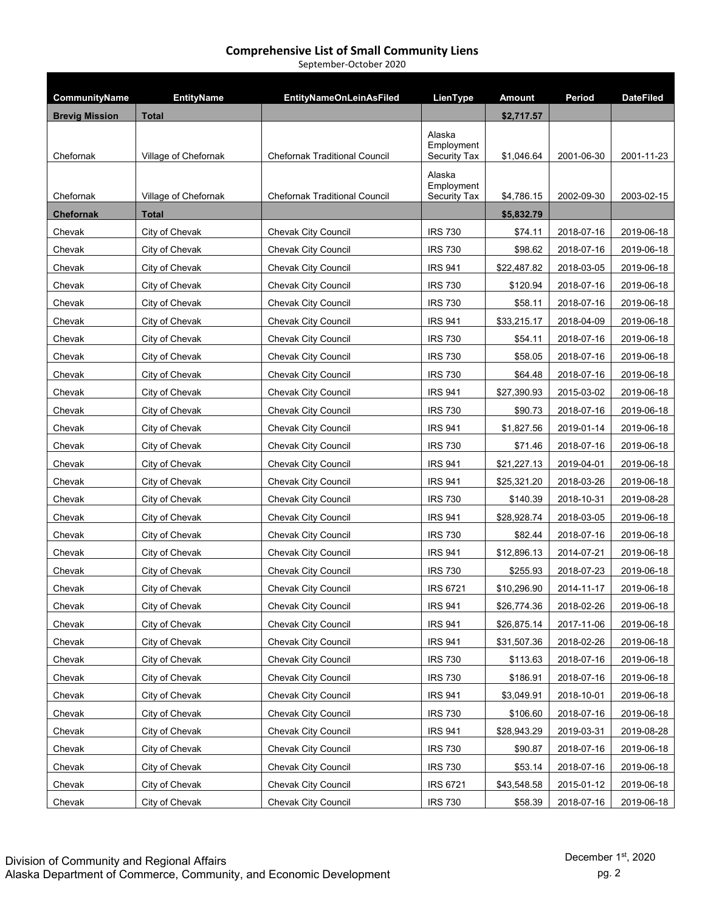September‐October 2020

| CommunityName         | <b>EntityName</b>    | <b>EntityNameOnLeinAsFiled</b>       | LienType                             | <b>Amount</b> | Period     | <b>DateFiled</b> |
|-----------------------|----------------------|--------------------------------------|--------------------------------------|---------------|------------|------------------|
| <b>Brevig Mission</b> | <b>Total</b>         |                                      |                                      | \$2,717.57    |            |                  |
| Chefornak             | Village of Chefornak | <b>Chefornak Traditional Council</b> | Alaska<br>Employment<br>Security Tax | \$1.046.64    | 2001-06-30 | 2001-11-23       |
| Chefornak             | Village of Chefornak | <b>Chefornak Traditional Council</b> | Alaska<br>Employment<br>Security Tax | \$4,786.15    | 2002-09-30 | 2003-02-15       |
| <b>Chefornak</b>      | <b>Total</b>         |                                      |                                      | \$5,832.79    |            |                  |
| Chevak                | City of Chevak       | <b>Chevak City Council</b>           | <b>IRS 730</b>                       | \$74.11       | 2018-07-16 | 2019-06-18       |
| Chevak                | City of Chevak       | Chevak City Council                  | <b>IRS 730</b>                       | \$98.62       | 2018-07-16 | 2019-06-18       |
| Chevak                | City of Chevak       | Chevak City Council                  | <b>IRS 941</b>                       | \$22,487.82   | 2018-03-05 | 2019-06-18       |
| Chevak                | City of Chevak       | Chevak City Council                  | <b>IRS 730</b>                       | \$120.94      | 2018-07-16 | 2019-06-18       |
| Chevak                | City of Chevak       | Chevak City Council                  | <b>IRS 730</b>                       | \$58.11       | 2018-07-16 | 2019-06-18       |
| Chevak                | City of Chevak       | Chevak City Council                  | <b>IRS 941</b>                       | \$33,215.17   | 2018-04-09 | 2019-06-18       |
| Chevak                | City of Chevak       | <b>Chevak City Council</b>           | <b>IRS 730</b>                       | \$54.11       | 2018-07-16 | 2019-06-18       |
| Chevak                | City of Chevak       | Chevak City Council                  | <b>IRS 730</b>                       | \$58.05       | 2018-07-16 | 2019-06-18       |
| Chevak                | City of Chevak       | Chevak City Council                  | <b>IRS 730</b>                       | \$64.48       | 2018-07-16 | 2019-06-18       |
| Chevak                | City of Chevak       | <b>Chevak City Council</b>           | <b>IRS 941</b>                       | \$27,390.93   | 2015-03-02 | 2019-06-18       |
| Chevak                | City of Chevak       | Chevak City Council                  | <b>IRS 730</b>                       | \$90.73       | 2018-07-16 | 2019-06-18       |
| Chevak                | City of Chevak       | Chevak City Council                  | <b>IRS 941</b>                       | \$1,827.56    | 2019-01-14 | 2019-06-18       |
| Chevak                | City of Chevak       | Chevak City Council                  | <b>IRS 730</b>                       | \$71.46       | 2018-07-16 | 2019-06-18       |
| Chevak                | City of Chevak       | Chevak City Council                  | <b>IRS 941</b>                       | \$21,227.13   | 2019-04-01 | 2019-06-18       |
| Chevak                | City of Chevak       | Chevak City Council                  | <b>IRS 941</b>                       | \$25,321.20   | 2018-03-26 | 2019-06-18       |
| Chevak                | City of Chevak       | Chevak City Council                  | <b>IRS 730</b>                       | \$140.39      | 2018-10-31 | 2019-08-28       |
| Chevak                | City of Chevak       | Chevak City Council                  | <b>IRS 941</b>                       | \$28,928.74   | 2018-03-05 | 2019-06-18       |
| Chevak                | City of Chevak       | Chevak City Council                  | <b>IRS 730</b>                       | \$82.44       | 2018-07-16 | 2019-06-18       |
| Chevak                | City of Chevak       | <b>Chevak City Council</b>           | <b>IRS 941</b>                       | \$12,896.13   | 2014-07-21 | 2019-06-18       |
| Chevak                | City of Chevak       | Chevak City Council                  | <b>IRS 730</b>                       | \$255.93      | 2018-07-23 | 2019-06-18       |
| Chevak                | City of Chevak       | Chevak City Council                  | <b>IRS 6721</b>                      | \$10,296.90   | 2014-11-17 | 2019-06-18       |
| Chevak                | City of Chevak       | Chevak City Council                  | <b>IRS 941</b>                       | \$26,774.36   | 2018-02-26 | 2019-06-18       |
| Chevak                | City of Chevak       | <b>Chevak City Council</b>           | <b>IRS 941</b>                       | \$26,875.14   | 2017-11-06 | 2019-06-18       |
| Chevak                | City of Chevak       | Chevak City Council                  | <b>IRS 941</b>                       | \$31,507.36   | 2018-02-26 | 2019-06-18       |
| Chevak                | City of Chevak       | <b>Chevak City Council</b>           | <b>IRS 730</b>                       | \$113.63      | 2018-07-16 | 2019-06-18       |
| Chevak                | City of Chevak       | Chevak City Council                  | <b>IRS 730</b>                       | \$186.91      | 2018-07-16 | 2019-06-18       |
| Chevak                | City of Chevak       | <b>Chevak City Council</b>           | <b>IRS 941</b>                       | \$3,049.91    | 2018-10-01 | 2019-06-18       |
| Chevak                | City of Chevak       | Chevak City Council                  | <b>IRS 730</b>                       | \$106.60      | 2018-07-16 | 2019-06-18       |
| Chevak                | City of Chevak       | Chevak City Council                  | <b>IRS 941</b>                       | \$28,943.29   | 2019-03-31 | 2019-08-28       |
| Chevak                | City of Chevak       | Chevak City Council                  | <b>IRS 730</b>                       | \$90.87       | 2018-07-16 | 2019-06-18       |
| Chevak                | City of Chevak       | Chevak City Council                  | <b>IRS 730</b>                       | \$53.14       | 2018-07-16 | 2019-06-18       |
| Chevak                | City of Chevak       | Chevak City Council                  | <b>IRS 6721</b>                      | \$43,548.58   | 2015-01-12 | 2019-06-18       |
| Chevak                | City of Chevak       | Chevak City Council                  | <b>IRS 730</b>                       | \$58.39       | 2018-07-16 | 2019-06-18       |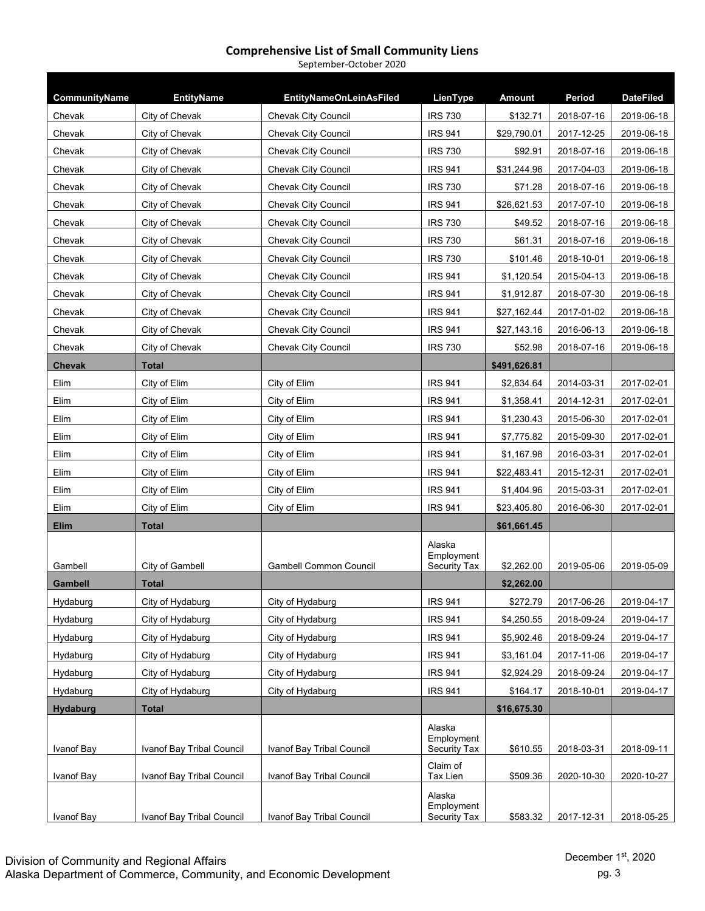| September-October 2020 |  |
|------------------------|--|
|------------------------|--|

| CommunityName   | <b>EntityName</b>         | <b>EntityNameOnLeinAsFiled</b> | LienType                   | <b>Amount</b> | Period     | <b>DateFiled</b> |
|-----------------|---------------------------|--------------------------------|----------------------------|---------------|------------|------------------|
| Chevak          | City of Chevak            | <b>Chevak City Council</b>     | <b>IRS 730</b>             | \$132.71      | 2018-07-16 | 2019-06-18       |
| Chevak          | City of Chevak            | Chevak City Council            | <b>IRS 941</b>             | \$29,790.01   | 2017-12-25 | 2019-06-18       |
| Chevak          | City of Chevak            | <b>Chevak City Council</b>     | <b>IRS 730</b>             | \$92.91       | 2018-07-16 | 2019-06-18       |
| Chevak          | City of Chevak            | <b>Chevak City Council</b>     | <b>IRS 941</b>             | \$31,244.96   | 2017-04-03 | 2019-06-18       |
| Chevak          | City of Chevak            | <b>Chevak City Council</b>     | <b>IRS 730</b>             | \$71.28       | 2018-07-16 | 2019-06-18       |
| Chevak          | City of Chevak            | Chevak City Council            | <b>IRS 941</b>             | \$26,621.53   | 2017-07-10 | 2019-06-18       |
| Chevak          | City of Chevak            | <b>Chevak City Council</b>     | <b>IRS 730</b>             | \$49.52       | 2018-07-16 | 2019-06-18       |
| Chevak          | City of Chevak            | Chevak City Council            | <b>IRS 730</b>             | \$61.31       | 2018-07-16 | 2019-06-18       |
| Chevak          | City of Chevak            | Chevak City Council            | <b>IRS 730</b>             | \$101.46      | 2018-10-01 | 2019-06-18       |
| Chevak          | City of Chevak            | Chevak City Council            | <b>IRS 941</b>             | \$1,120.54    | 2015-04-13 | 2019-06-18       |
| Chevak          | City of Chevak            | Chevak City Council            | <b>IRS 941</b>             | \$1,912.87    | 2018-07-30 | 2019-06-18       |
| Chevak          | City of Chevak            | Chevak City Council            | <b>IRS 941</b>             | \$27,162.44   | 2017-01-02 | 2019-06-18       |
| Chevak          | City of Chevak            | Chevak City Council            | <b>IRS 941</b>             | \$27,143.16   | 2016-06-13 | 2019-06-18       |
| Chevak          | City of Chevak            | Chevak City Council            | <b>IRS 730</b>             | \$52.98       | 2018-07-16 | 2019-06-18       |
| <b>Chevak</b>   | <b>Total</b>              |                                |                            | \$491,626.81  |            |                  |
| Elim            | City of Elim              | City of Elim                   | <b>IRS 941</b>             | \$2,834.64    | 2014-03-31 | 2017-02-01       |
| Elim            | City of Elim              | City of Elim                   | <b>IRS 941</b>             | \$1,358.41    | 2014-12-31 | 2017-02-01       |
| Elim            | City of Elim              | City of Elim                   | <b>IRS 941</b>             | \$1,230.43    | 2015-06-30 | 2017-02-01       |
| Elim            | City of Elim              | City of Elim                   | <b>IRS 941</b>             | \$7,775.82    | 2015-09-30 | 2017-02-01       |
| Elim            | City of Elim              | City of Elim                   | <b>IRS 941</b>             | \$1,167.98    | 2016-03-31 | 2017-02-01       |
| Elim            | City of Elim              | City of Elim                   | <b>IRS 941</b>             | \$22,483.41   | 2015-12-31 | 2017-02-01       |
| Elim            | City of Elim              | City of Elim                   | <b>IRS 941</b>             | \$1,404.96    | 2015-03-31 | 2017-02-01       |
| Elim            | City of Elim              | City of Elim                   | <b>IRS 941</b>             | \$23,405.80   | 2016-06-30 | 2017-02-01       |
| <b>Elim</b>     | <b>Total</b>              |                                |                            | \$61,661.45   |            |                  |
|                 |                           |                                | Alaska<br>Employment       |               |            |                  |
| Gambell         | City of Gambell           | <b>Gambell Common Council</b>  | <b>Security Tax</b>        | \$2,262.00    | 2019-05-06 | 2019-05-09       |
| Gambell         | <b>Total</b>              |                                |                            | \$2,262.00    |            |                  |
| Hydaburg        | City of Hydaburg          | City of Hydaburg               | <b>IRS 941</b>             | \$272.79      | 2017-06-26 | 2019-04-17       |
| Hydaburg        | City of Hydaburg          | City of Hydaburg               | <b>IRS 941</b>             | \$4,250.55    | 2018-09-24 | 2019-04-17       |
| Hydaburg        | City of Hydaburg          | City of Hydaburg               | <b>IRS 941</b>             | \$5,902.46    | 2018-09-24 | 2019-04-17       |
| Hydaburg        | City of Hydaburg          | City of Hydaburg               | <b>IRS 941</b>             | \$3,161.04    | 2017-11-06 | 2019-04-17       |
| Hydaburg        | City of Hydaburg          | City of Hydaburg               | <b>IRS 941</b>             | \$2,924.29    | 2018-09-24 | 2019-04-17       |
| Hydaburg        | City of Hydaburg          | City of Hydaburg               | <b>IRS 941</b>             | \$164.17      | 2018-10-01 | 2019-04-17       |
| <b>Hydaburg</b> | <b>Total</b>              |                                |                            | \$16,675.30   |            |                  |
|                 |                           |                                | Alaska<br>Employment       |               |            |                  |
| Ivanof Bay      | Ivanof Bay Tribal Council | Ivanof Bay Tribal Council      | Security Tax               | \$610.55      | 2018-03-31 | 2018-09-11       |
| Ivanof Bay      | Ivanof Bay Tribal Council | Ivanof Bay Tribal Council      | Claim of<br>Tax Lien       | \$509.36      | 2020-10-30 | 2020-10-27       |
|                 |                           |                                | Alaska                     |               |            |                  |
| Ivanof Bay      | Ivanof Bay Tribal Council | Ivanof Bay Tribal Council      | Employment<br>Security Tax | \$583.32      | 2017-12-31 | 2018-05-25       |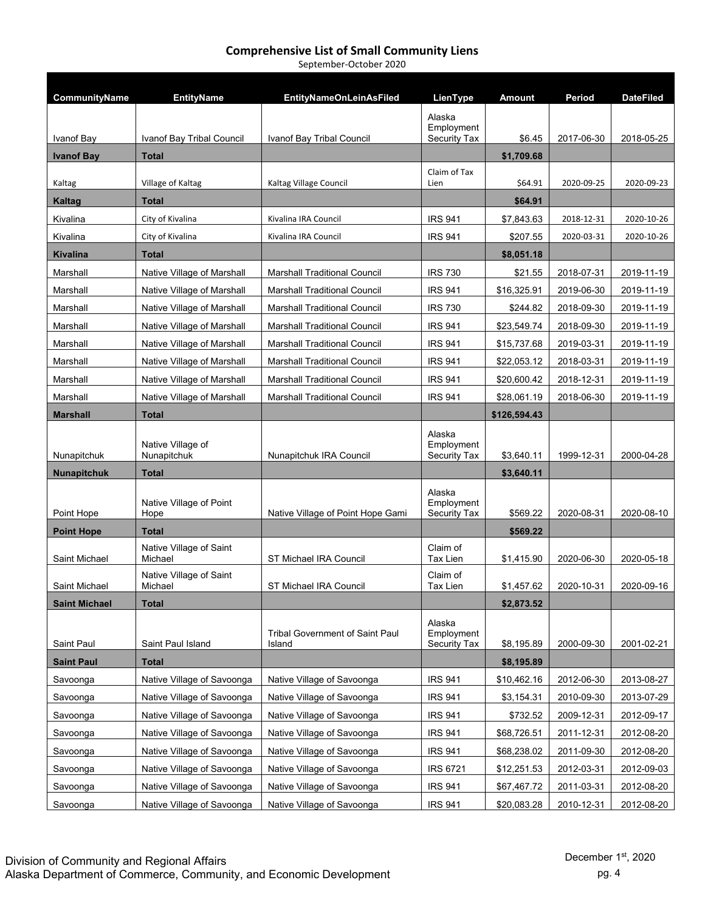September‐October 2020

| CommunityName        | <b>EntityName</b>                  | <b>EntityNameOnLeinAsFiled</b>                   | LienType                                    | Amount       | Period     | <b>DateFiled</b> |
|----------------------|------------------------------------|--------------------------------------------------|---------------------------------------------|--------------|------------|------------------|
| Ivanof Bay           | Ivanof Bay Tribal Council          | Ivanof Bay Tribal Council                        | Alaska<br>Employment<br><b>Security Tax</b> | \$6.45       | 2017-06-30 | 2018-05-25       |
| <b>Ivanof Bay</b>    | <b>Total</b>                       |                                                  |                                             | \$1,709.68   |            |                  |
|                      |                                    |                                                  | Claim of Tax                                |              |            |                  |
| Kaltag               | Village of Kaltag                  | Kaltag Village Council                           | Lien                                        | \$64.91      | 2020-09-25 | 2020-09-23       |
| Kaltag               | <b>Total</b>                       |                                                  |                                             | \$64.91      |            |                  |
| Kivalina             | City of Kivalina                   | Kivalina IRA Council                             | <b>IRS 941</b>                              | \$7,843.63   | 2018-12-31 | 2020-10-26       |
| Kivalina             | City of Kivalina                   | Kivalina IRA Council                             | <b>IRS 941</b>                              | \$207.55     | 2020-03-31 | 2020-10-26       |
| <b>Kivalina</b>      | <b>Total</b>                       |                                                  |                                             | \$8,051.18   |            |                  |
| Marshall             | Native Village of Marshall         | <b>Marshall Traditional Council</b>              | <b>IRS 730</b>                              | \$21.55      | 2018-07-31 | 2019-11-19       |
| Marshall             | Native Village of Marshall         | <b>Marshall Traditional Council</b>              | <b>IRS 941</b>                              | \$16,325.91  | 2019-06-30 | 2019-11-19       |
| Marshall             | Native Village of Marshall         | <b>Marshall Traditional Council</b>              | <b>IRS 730</b>                              | \$244.82     | 2018-09-30 | 2019-11-19       |
| Marshall             | Native Village of Marshall         | <b>Marshall Traditional Council</b>              | <b>IRS 941</b>                              | \$23,549.74  | 2018-09-30 | 2019-11-19       |
| Marshall             | Native Village of Marshall         | <b>Marshall Traditional Council</b>              | <b>IRS 941</b>                              | \$15,737.68  | 2019-03-31 | 2019-11-19       |
| Marshall             | Native Village of Marshall         | <b>Marshall Traditional Council</b>              | <b>IRS 941</b>                              | \$22,053.12  | 2018-03-31 | 2019-11-19       |
| Marshall             | Native Village of Marshall         | <b>Marshall Traditional Council</b>              | <b>IRS 941</b>                              | \$20,600.42  | 2018-12-31 | 2019-11-19       |
| Marshall             | Native Village of Marshall         | <b>Marshall Traditional Council</b>              | <b>IRS 941</b>                              | \$28,061.19  | 2018-06-30 | 2019-11-19       |
| <b>Marshall</b>      | <b>Total</b>                       |                                                  |                                             | \$126,594.43 |            |                  |
| Nunapitchuk          | Native Village of<br>Nunapitchuk   | Nunapitchuk IRA Council                          | Alaska<br>Employment<br><b>Security Tax</b> | \$3,640.11   | 1999-12-31 | 2000-04-28       |
| <b>Nunapitchuk</b>   | <b>Total</b>                       |                                                  |                                             | \$3,640.11   |            |                  |
| Point Hope           | Native Village of Point<br>Hope    | Native Village of Point Hope Gami                | Alaska<br>Employment<br>Security Tax        | \$569.22     | 2020-08-31 | 2020-08-10       |
| <b>Point Hope</b>    | <b>Total</b>                       |                                                  |                                             | \$569.22     |            |                  |
| Saint Michael        | Native Village of Saint<br>Michael | ST Michael IRA Council                           | Claim of<br><b>Tax Lien</b>                 | \$1,415.90   | 2020-06-30 | 2020-05-18       |
| Saint Michael        | Native Village of Saint<br>Michael | ST Michael IRA Council                           | Claim of<br><b>Tax Lien</b>                 | \$1,457.62   | 2020-10-31 | 2020-09-16       |
| <b>Saint Michael</b> | <b>Total</b>                       |                                                  |                                             | \$2,873.52   |            |                  |
| Saint Paul           | Saint Paul Island                  | <b>Tribal Government of Saint Paul</b><br>Island | Alaska<br>Employment<br>Security Tax        | \$8,195.89   | 2000-09-30 | 2001-02-21       |
| <b>Saint Paul</b>    | <b>Total</b>                       |                                                  |                                             | \$8,195.89   |            |                  |
| Savoonga             | Native Village of Savoonga         | Native Village of Savoonga                       | <b>IRS 941</b>                              | \$10,462.16  | 2012-06-30 | 2013-08-27       |
| Savoonga             | Native Village of Savoonga         | Native Village of Savoonga                       | <b>IRS 941</b>                              | \$3,154.31   | 2010-09-30 | 2013-07-29       |
| Savoonga             | Native Village of Savoonga         | Native Village of Savoonga                       | <b>IRS 941</b>                              | \$732.52     | 2009-12-31 | 2012-09-17       |
| Savoonga             | Native Village of Savoonga         | Native Village of Savoonga                       | <b>IRS 941</b>                              | \$68,726.51  | 2011-12-31 | 2012-08-20       |
| Savoonga             | Native Village of Savoonga         | Native Village of Savoonga                       | <b>IRS 941</b>                              | \$68,238.02  | 2011-09-30 | 2012-08-20       |
| Savoonga             | Native Village of Savoonga         | Native Village of Savoonga                       | <b>IRS 6721</b>                             | \$12,251.53  | 2012-03-31 | 2012-09-03       |
| Savoonga             | Native Village of Savoonga         | Native Village of Savoonga                       | <b>IRS 941</b>                              | \$67,467.72  | 2011-03-31 | 2012-08-20       |
| Savoonga             | Native Village of Savoonga         | Native Village of Savoonga                       | <b>IRS 941</b>                              | \$20,083.28  | 2010-12-31 | 2012-08-20       |